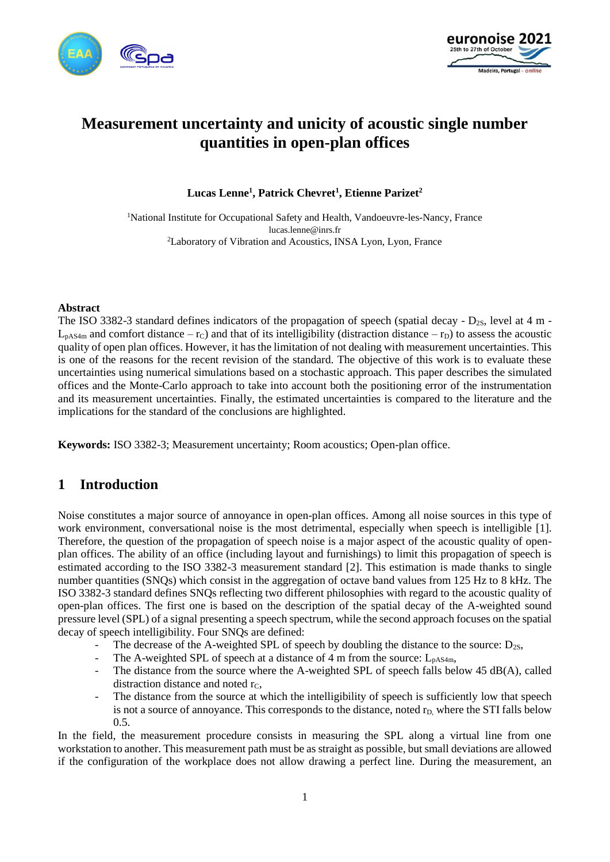



# **Measurement uncertainty and unicity of acoustic single number quantities in open-plan offices**

**Lucas Lenne<sup>1</sup> , Patrick Chevret<sup>1</sup> , Etienne Parizet<sup>2</sup>**

<sup>1</sup>National Institute for Occupational Safety and Health, Vandoeuvre-les-Nancy, France lucas.lenne@inrs.fr <sup>2</sup>Laboratory of Vibration and Acoustics, INSA Lyon, Lyon, France

#### **Abstract**

The ISO 3382-3 standard defines indicators of the propagation of speech (spatial decay -  $D_{2S}$ , level at 4 m - $L_{pAS4m}$  and comfort distance – r<sub>C</sub>) and that of its intelligibility (distraction distance – r<sub>D</sub>) to assess the acoustic quality of open plan offices. However, it has the limitation of not dealing with measurement uncertainties. This is one of the reasons for the recent revision of the standard. The objective of this work is to evaluate these uncertainties using numerical simulations based on a stochastic approach. This paper describes the simulated offices and the Monte-Carlo approach to take into account both the positioning error of the instrumentation and its measurement uncertainties. Finally, the estimated uncertainties is compared to the literature and the implications for the standard of the conclusions are highlighted.

**Keywords:** ISO 3382-3; Measurement uncertainty; Room acoustics; Open-plan office.

### **1 Introduction**

Noise constitutes a major source of annoyance in open-plan offices. Among all noise sources in this type of work environment, conversational noise is the most detrimental, especially when speech is intelligible [1]. Therefore, the question of the propagation of speech noise is a major aspect of the acoustic quality of openplan offices. The ability of an office (including layout and furnishings) to limit this propagation of speech is estimated according to the ISO 3382-3 measurement standard [2]. This estimation is made thanks to single number quantities (SNQs) which consist in the aggregation of octave band values from 125 Hz to 8 kHz. The ISO 3382-3 standard defines SNQs reflecting two different philosophies with regard to the acoustic quality of open-plan offices. The first one is based on the description of the spatial decay of the A-weighted sound pressure level (SPL) of a signal presenting a speech spectrum, while the second approach focuses on the spatial decay of speech intelligibility. Four SNQs are defined:

- The decrease of the A-weighted SPL of speech by doubling the distance to the source:  $D_{2S}$ ,
- The A-weighted SPL of speech at a distance of 4 m from the source:  $L_{pAS4m}$ ,
- The distance from the source where the A-weighted SPL of speech falls below  $45 \text{ dB}(A)$ , called distraction distance and noted  $r_c$ .
- The distance from the source at which the intelligibility of speech is sufficiently low that speech is not a source of annoyance. This corresponds to the distance, noted r<sub>D</sub>, where the STI falls below 0.5.

In the field, the measurement procedure consists in measuring the SPL along a virtual line from one workstation to another. This measurement path must be as straight as possible, but small deviations are allowed if the configuration of the workplace does not allow drawing a perfect line. During the measurement, an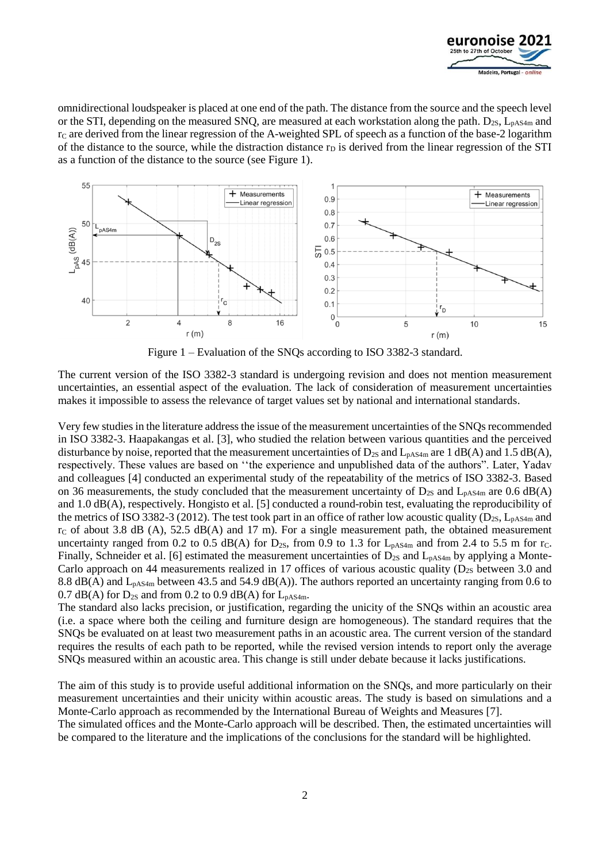

omnidirectional loudspeaker is placed at one end of the path. The distance from the source and the speech level or the STI, depending on the measured SNQ, are measured at each workstation along the path.  $D_{2S}$ ,  $L_{pAS4m}$  and  $r<sub>C</sub>$  are derived from the linear regression of the A-weighted SPL of speech as a function of the base-2 logarithm of the distance to the source, while the distraction distance  $r<sub>D</sub>$  is derived from the linear regression of the STI as a function of the distance to the source (see [Figure 1\)](#page-1-0).



Figure 1 – Evaluation of the SNQs according to ISO 3382-3 standard.

<span id="page-1-0"></span>The current version of the ISO 3382-3 standard is undergoing revision and does not mention measurement uncertainties, an essential aspect of the evaluation. The lack of consideration of measurement uncertainties makes it impossible to assess the relevance of target values set by national and international standards.

Very few studies in the literature address the issue of the measurement uncertainties of the SNQs recommended in ISO 3382-3. Haapakangas et al. [3], who studied the relation between various quantities and the perceived disturbance by noise, reported that the measurement uncertainties of  $D_{2S}$  and  $L_{pAS4m}$  are 1 dB(A) and 1.5 dB(A), respectively. These values are based on ''the experience and unpublished data of the authors". Later, Yadav and colleagues [4] conducted an experimental study of the repeatability of the metrics of ISO 3382-3. Based on 36 measurements, the study concluded that the measurement uncertainty of  $D_{2S}$  and  $L_{pAS4m}$  are 0.6 dB(A) and 1.0 dB(A), respectively. Hongisto et al. [5] conducted a round-robin test, evaluating the reproducibility of the metrics of ISO 3382-3 (2012). The test took part in an office of rather low acoustic quality ( $D_{2S}$ ,  $L_{pAS4m}$  and  $r<sub>C</sub>$  of about 3.8 dB (A), 52.5 dB(A) and 17 m). For a single measurement path, the obtained measurement uncertainty ranged from 0.2 to 0.5 dB(A) for  $D_{2S}$ , from 0.9 to 1.3 for  $L_{pAS4m}$  and from 2.4 to 5.5 m for r<sub>C</sub>. Finally, Schneider et al. [6] estimated the measurement uncertainties of  $D_{2S}$  and  $L_{pAS4m}$  by applying a Monte-Carlo approach on 44 measurements realized in 17 offices of various acoustic quality ( $D_{2S}$  between 3.0 and 8.8 dB(A) and  $L_{pAS4m}$  between 43.5 and 54.9 dB(A)). The authors reported an uncertainty ranging from 0.6 to 0.7 dB(A) for  $D_{2S}$  and from 0.2 to 0.9 dB(A) for  $L_{pAS4m}$ .

The standard also lacks precision, or justification, regarding the unicity of the SNQs within an acoustic area (i.e. a space where both the ceiling and furniture design are homogeneous). The standard requires that the SNQs be evaluated on at least two measurement paths in an acoustic area. The current version of the standard requires the results of each path to be reported, while the revised version intends to report only the average SNQs measured within an acoustic area. This change is still under debate because it lacks justifications.

The aim of this study is to provide useful additional information on the SNQs, and more particularly on their measurement uncertainties and their unicity within acoustic areas. The study is based on simulations and a Monte-Carlo approach as recommended by the International Bureau of Weights and Measures [7]. The simulated offices and the Monte-Carlo approach will be described. Then, the estimated uncertainties will be compared to the literature and the implications of the conclusions for the standard will be highlighted.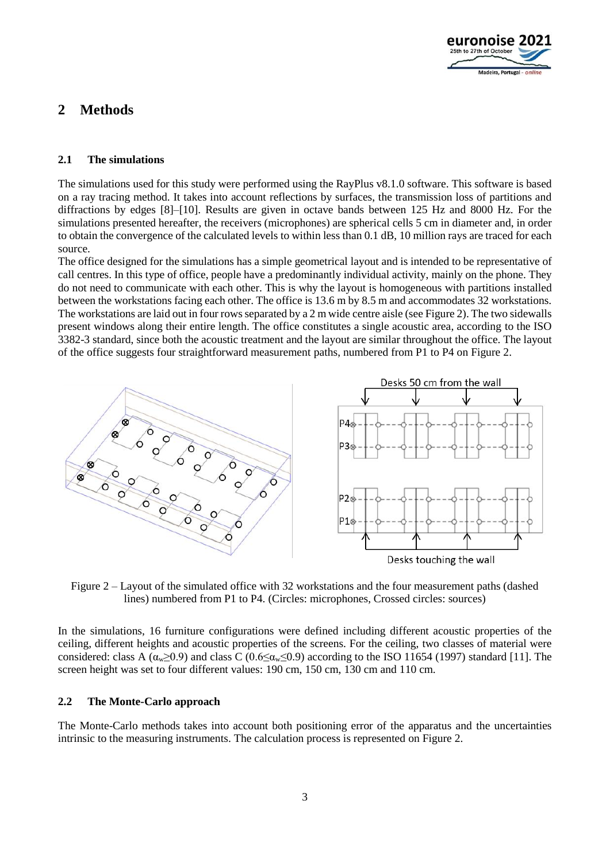

# **2 Methods**

### **2.1 The simulations**

The simulations used for this study were performed using the RayPlus v8.1.0 software. This software is based on a ray tracing method. It takes into account reflections by surfaces, the transmission loss of partitions and diffractions by edges [8]–[10]. Results are given in octave bands between 125 Hz and 8000 Hz. For the simulations presented hereafter, the receivers (microphones) are spherical cells 5 cm in diameter and, in order to obtain the convergence of the calculated levels to within less than 0.1 dB, 10 million rays are traced for each source.

The office designed for the simulations has a simple geometrical layout and is intended to be representative of call centres. In this type of office, people have a predominantly individual activity, mainly on the phone. They do not need to communicate with each other. This is why the layout is homogeneous with partitions installed between the workstations facing each other. The office is 13.6 m by 8.5 m and accommodates 32 workstations. The workstations are laid out in four rows separated by a 2 m wide centre aisle (se[e Figure 2\)](#page-2-0). The two sidewalls present windows along their entire length. The office constitutes a single acoustic area, according to the ISO 3382-3 standard, since both the acoustic treatment and the layout are similar throughout the office. The layout of the office suggests four straightforward measurement paths, numbered from P1 to P4 o[n Figure 2.](#page-2-0)



<span id="page-2-0"></span>Figure 2 – Layout of the simulated office with 32 workstations and the four measurement paths (dashed lines) numbered from P1 to P4. (Circles: microphones, Crossed circles: sources)

In the simulations, 16 furniture configurations were defined including different acoustic properties of the ceiling, different heights and acoustic properties of the screens. For the ceiling, two classes of material were considered: class A ( $\alpha_{w} \ge 0.9$ ) and class C (0.6≤ $\alpha_{w} \le 0.9$ ) according to the ISO 11654 (1997) standard [11]. The screen height was set to four different values: 190 cm, 150 cm, 130 cm and 110 cm.

#### **2.2 The Monte-Carlo approach**

The Monte-Carlo methods takes into account both positioning error of the apparatus and the uncertainties intrinsic to the measuring instruments. The calculation process is represented on Figure 2.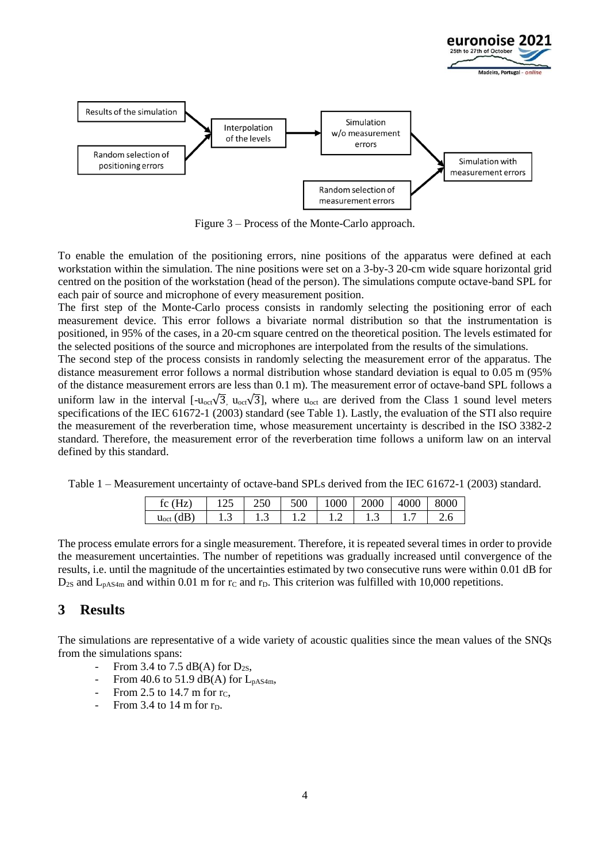

Figure 3 – Process of the Monte-Carlo approach.

<span id="page-3-1"></span>To enable the emulation of the positioning errors, nine positions of the apparatus were defined at each workstation within the simulation. The nine positions were set on a 3-by-3 20-cm wide square horizontal grid centred on the position of the workstation (head of the person). The simulations compute octave-band SPL for each pair of source and microphone of every measurement position.

The first step of the Monte-Carlo process consists in randomly selecting the positioning error of each measurement device. This error follows a bivariate normal distribution so that the instrumentation is positioned, in 95% of the cases, in a 20-cm square centred on the theoretical position. The levels estimated for the selected positions of the source and microphones are interpolated from the results of the simulations.

The second step of the process consists in randomly selecting the measurement error of the apparatus. The distance measurement error follows a normal distribution whose standard deviation is equal to 0.05 m (95% of the distance measurement errors are less than 0.1 m). The measurement error of octave-band SPL follows a uniform law in the interval  $[-u_{oct}\sqrt{3}]$ ,  $u_{oct}\sqrt{3}]$ , where  $u_{oct}$  are derived from the Class 1 sound level meters specifications of the IEC 61672-1 (2003) standard (see [Table 1\)](#page-3-0). Lastly, the evaluation of the STI also require the measurement of the reverberation time, whose measurement uncertainty is described in the ISO 3382-2 standard. Therefore, the measurement error of the reverberation time follows a uniform law on an interval defined by this standard.

<span id="page-3-0"></span>Table 1 – Measurement uncertainty of octave-band SPLs derived from the IEC 61672-1 (2003) standard.

| $\overline{\phantom{a}}$<br>tc<br>ᄔ | ت    | $\sim$ $\sim$ $\sim$<br>ZJU | 500          | 000          | 000 | К<br>ΔI | 00  |
|-------------------------------------|------|-----------------------------|--------------|--------------|-----|---------|-----|
| .<br>$u_{\rm oct}$<br>uD            | ن. 1 | 1.5                         | . . <u>.</u> | . . <u>.</u> | ل د |         | ∠.∪ |

The process emulate errors for a single measurement. Therefore, it is repeated several times in order to provide the measurement uncertainties. The number of repetitions was gradually increased until convergence of the results, i.e. until the magnitude of the uncertainties estimated by two consecutive runs were within 0.01 dB for  $D_{2S}$  and  $L_{pAS4m}$  and within 0.01 m for  $r_C$  and  $r_D$ . This criterion was fulfilled with 10,000 repetitions.

### **3 Results**

The simulations are representative of a wide variety of acoustic qualities since the mean values of the SNQs from the simulations spans:

- From 3.4 to 7.5 dB(A) for  $D_{2S}$ ,
- From 40.6 to 51.9 dB(A) for  $L_{pAS4m}$ .
- From 2.5 to 14.7 m for  $r_c$ ,
- From 3.4 to 14 m for  $r_D$ .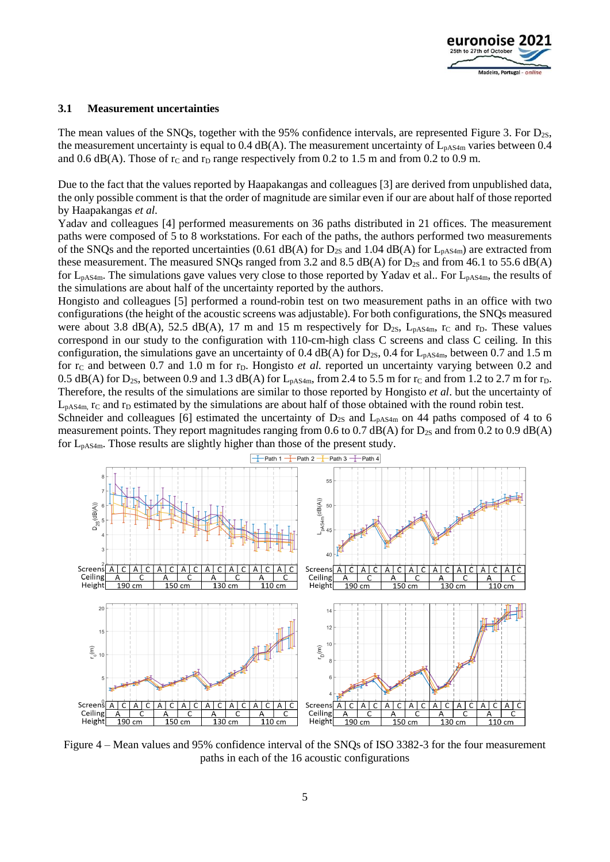

#### **3.1 Measurement uncertainties**

The mean values of the SNQs, together with the 95% confidence intervals, are represented [Figure 3.](#page-3-1) For D<sub>2S</sub>, the measurement uncertainty is equal to  $0.4$  dB(A). The measurement uncertainty of  $L_{pAS4m}$  varies between 0.4 and 0.6 dB(A). Those of  $r_c$  and  $r_D$  range respectively from 0.2 to 1.5 m and from 0.2 to 0.9 m.

Due to the fact that the values reported by Haapakangas and colleagues [3] are derived from unpublished data, the only possible comment is that the order of magnitude are similar even if our are about half of those reported by Haapakangas *et al*.

Yadav and colleagues [4] performed measurements on 36 paths distributed in 21 offices. The measurement paths were composed of 5 to 8 workstations. For each of the paths, the authors performed two measurements of the SNQs and the reported uncertainties (0.61 dB(A) for  $D_{2S}$  and 1.04 dB(A) for  $L_{pAS4m}$ ) are extracted from these measurement. The measured SNQs ranged from 3.2 and 8.5 dB(A) for  $D_{2S}$  and from 46.1 to 55.6 dB(A) for  $L_{pAS4m}$ . The simulations gave values very close to those reported by Yadav et al.. For  $L_{pAS4m}$ , the results of the simulations are about half of the uncertainty reported by the authors.

Hongisto and colleagues [5] performed a round-robin test on two measurement paths in an office with two configurations (the height of the acoustic screens was adjustable). For both configurations, the SNQs measured were about 3.8 dB(A), 52.5 dB(A), 17 m and 15 m respectively for  $D_{2S}$ ,  $L_{pAS4m}$ , r<sub>C</sub> and r<sub>D</sub>. These values correspond in our study to the configuration with 110-cm-high class C screens and class C ceiling. In this configuration, the simulations gave an uncertainty of 0.4 dB(A) for  $D_{2S}$ , 0.4 for  $L_{pAS4m}$ , between 0.7 and 1.5 m for r<sub>C</sub> and between 0.7 and 1.0 m for r<sub>D</sub>. Hongisto *et al.* reported un uncertainty varying between 0.2 and 0.5 dB(A) for D<sub>2S</sub>, between 0.9 and 1.3 dB(A) for L<sub>pAS4m</sub>, from 2.4 to 5.5 m for r<sub>C</sub> and from 1.2 to 2.7 m for r<sub>D</sub>. Therefore, the results of the simulations are similar to those reported by Hongisto *et al*. but the uncertainty of  $L_{pAS4m}$ , r<sub>C</sub> and r<sub>D</sub> estimated by the simulations are about half of those obtained with the round robin test.

Schneider and colleagues [6] estimated the uncertainty of  $D_{2S}$  and  $L_{pAS4m}$  on 44 paths composed of 4 to 6 measurement points. They report magnitudes ranging from 0.6 to 0.7 dB(A) for  $D_{2S}$  and from 0.2 to 0.9 dB(A) for  $L_{pAS4m}$ . Those results are slightly higher than those of the present study.



<span id="page-4-0"></span>Figure 4 – Mean values and 95% confidence interval of the SNQs of ISO 3382-3 for the four measurement paths in each of the 16 acoustic configurations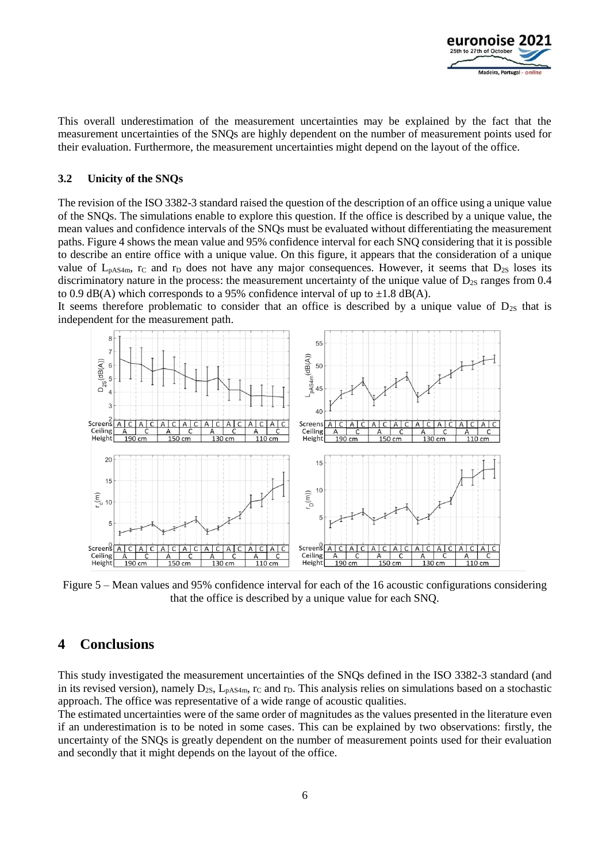

This overall underestimation of the measurement uncertainties may be explained by the fact that the measurement uncertainties of the SNQs are highly dependent on the number of measurement points used for their evaluation. Furthermore, the measurement uncertainties might depend on the layout of the office.

#### **3.2 Unicity of the SNQs**

The revision of the ISO 3382-3 standard raised the question of the description of an office using a unique value of the SNQs. The simulations enable to explore this question. If the office is described by a unique value, the mean values and confidence intervals of the SNQs must be evaluated without differentiating the measurement paths. [Figure 4](#page-4-0) shows the mean value and 95% confidence interval for each SNQ considering that it is possible to describe an entire office with a unique value. On this figure, it appears that the consideration of a unique value of  $L_{pAS4m}$ , r<sub>C</sub> and r<sub>D</sub> does not have any major consequences. However, it seems that  $D_{2S}$  loses its discriminatory nature in the process: the measurement uncertainty of the unique value of  $D_{2S}$  ranges from 0.4 to 0.9 dB(A) which corresponds to a 95% confidence interval of up to  $\pm 1.8$  dB(A).

It seems therefore problematic to consider that an office is described by a unique value of  $D_{2S}$  that is independent for the measurement path.



Figure 5 – Mean values and 95% confidence interval for each of the 16 acoustic configurations considering that the office is described by a unique value for each SNQ.

### **4 Conclusions**

This study investigated the measurement uncertainties of the SNQs defined in the ISO 3382-3 standard (and in its revised version), namely D<sub>2S</sub>, L<sub>pAS4m</sub>, r<sub>C</sub> and r<sub>D</sub>. This analysis relies on simulations based on a stochastic approach. The office was representative of a wide range of acoustic qualities.

The estimated uncertainties were of the same order of magnitudes as the values presented in the literature even if an underestimation is to be noted in some cases. This can be explained by two observations: firstly, the uncertainty of the SNQs is greatly dependent on the number of measurement points used for their evaluation and secondly that it might depends on the layout of the office.